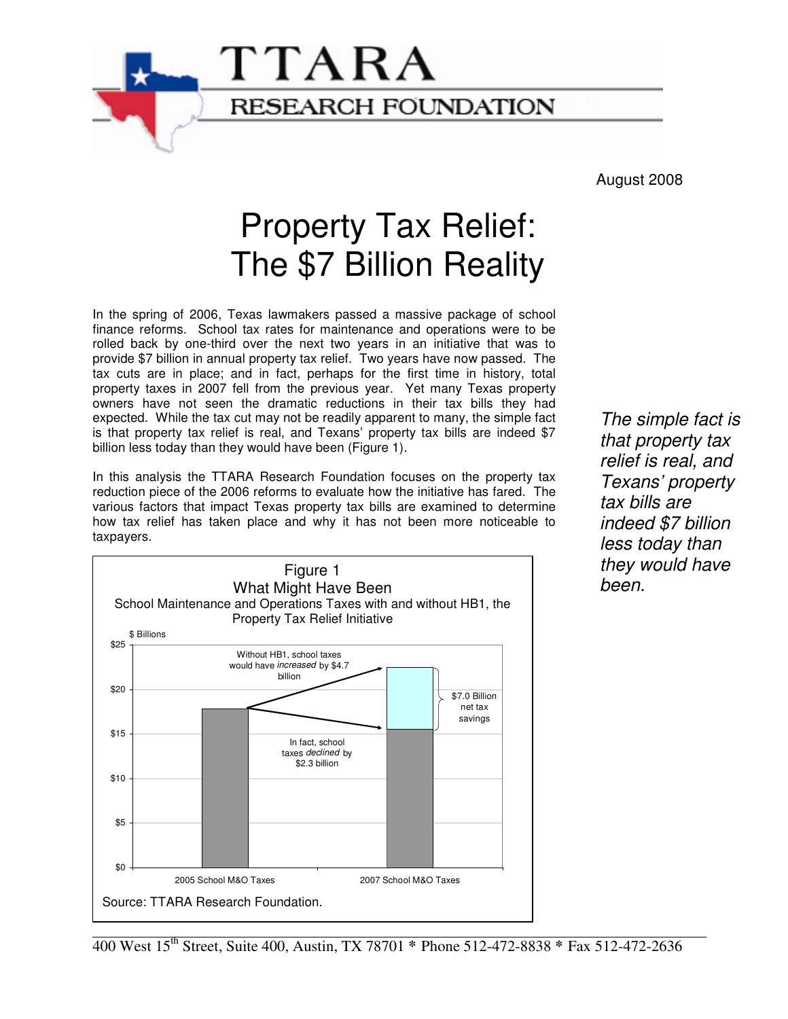

# Property Tax Relief: The \$7 Billion Reality

**RESEARCH FOUNDATION** 

In the spring of 2006, Texas lawmakers passed a massive package of school finance reforms. School tax rates for maintenance and operations were to be rolled back by one-third over the next two years in an initiative that was to provide \$7 billion in annual property tax relief. Two years have now passed. The tax cuts are in place; and in fact, perhaps for the first time in history, total property taxes in 2007 fell from the previous year. Yet many Texas property owners have not seen the dramatic reductions in their tax bills they had expected. While the tax cut may not be readily apparent to many, the simple fact is that property tax relief is real, and Texans' property tax bills are indeed \$7 billion less today than they would have been (Figure 1).

TTARA

In this analysis the TTARA Research Foundation focuses on the property tax reduction piece of the 2006 reforms to evaluate how the initiative has fared. The various factors that impact Texas property tax bills are examined to determine how tax relief has taken place and why it has not been more noticeable to taxpayers.



The simple fact is that property tax relief is real, and Texans' property tax bills are indeed \$7 billion less today than they would have been.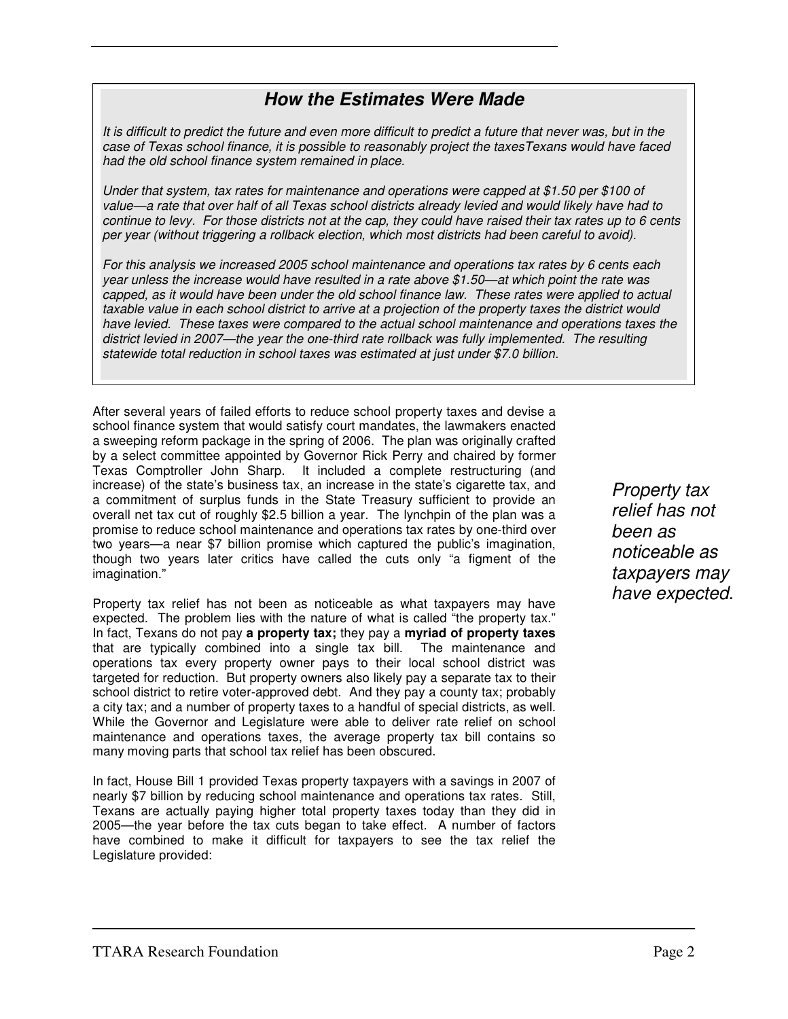### **How the Estimates Were Made**

It is difficult to predict the future and even more difficult to predict a future that never was, but in the case of Texas school finance, it is possible to reasonably project the taxesTexans would have faced had the old school finance system remained in place.

Under that system, tax rates for maintenance and operations were capped at \$1.50 per \$100 of value—a rate that over half of all Texas school districts already levied and would likely have had to continue to levy. For those districts not at the cap, they could have raised their tax rates up to 6 cents per year (without triggering a rollback election, which most districts had been careful to avoid).

For this analysis we increased 2005 school maintenance and operations tax rates by 6 cents each year unless the increase would have resulted in a rate above \$1.50—at which point the rate was capped, as it would have been under the old school finance law. These rates were applied to actual taxable value in each school district to arrive at a projection of the property taxes the district would have levied. These taxes were compared to the actual school maintenance and operations taxes the district levied in 2007—the year the one-third rate rollback was fully implemented. The resulting statewide total reduction in school taxes was estimated at just under \$7.0 billion.

After several years of failed efforts to reduce school property taxes and devise a school finance system that would satisfy court mandates, the lawmakers enacted a sweeping reform package in the spring of 2006. The plan was originally crafted by a select committee appointed by Governor Rick Perry and chaired by former Texas Comptroller John Sharp. It included a complete restructuring (and increase) of the state's business tax, an increase in the state's cigarette tax, and a commitment of surplus funds in the State Treasury sufficient to provide an overall net tax cut of roughly \$2.5 billion a year. The lynchpin of the plan was a promise to reduce school maintenance and operations tax rates by one-third over two years—a near \$7 billion promise which captured the public's imagination, though two years later critics have called the cuts only "a figment of the imagination."

Property tax relief has not been as noticeable as what taxpayers may have expected. The problem lies with the nature of what is called "the property tax." In fact, Texans do not pay **a property tax;** they pay a **myriad of property taxes** that are typically combined into a single tax bill. The maintenance and operations tax every property owner pays to their local school district was targeted for reduction. But property owners also likely pay a separate tax to their school district to retire voter-approved debt. And they pay a county tax; probably a city tax; and a number of property taxes to a handful of special districts, as well. While the Governor and Legislature were able to deliver rate relief on school maintenance and operations taxes, the average property tax bill contains so many moving parts that school tax relief has been obscured.

In fact, House Bill 1 provided Texas property taxpayers with a savings in 2007 of nearly \$7 billion by reducing school maintenance and operations tax rates. Still, Texans are actually paying higher total property taxes today than they did in 2005—the year before the tax cuts began to take effect. A number of factors have combined to make it difficult for taxpayers to see the tax relief the Legislature provided:

Property tax relief has not been as noticeable as taxpayers may have expected.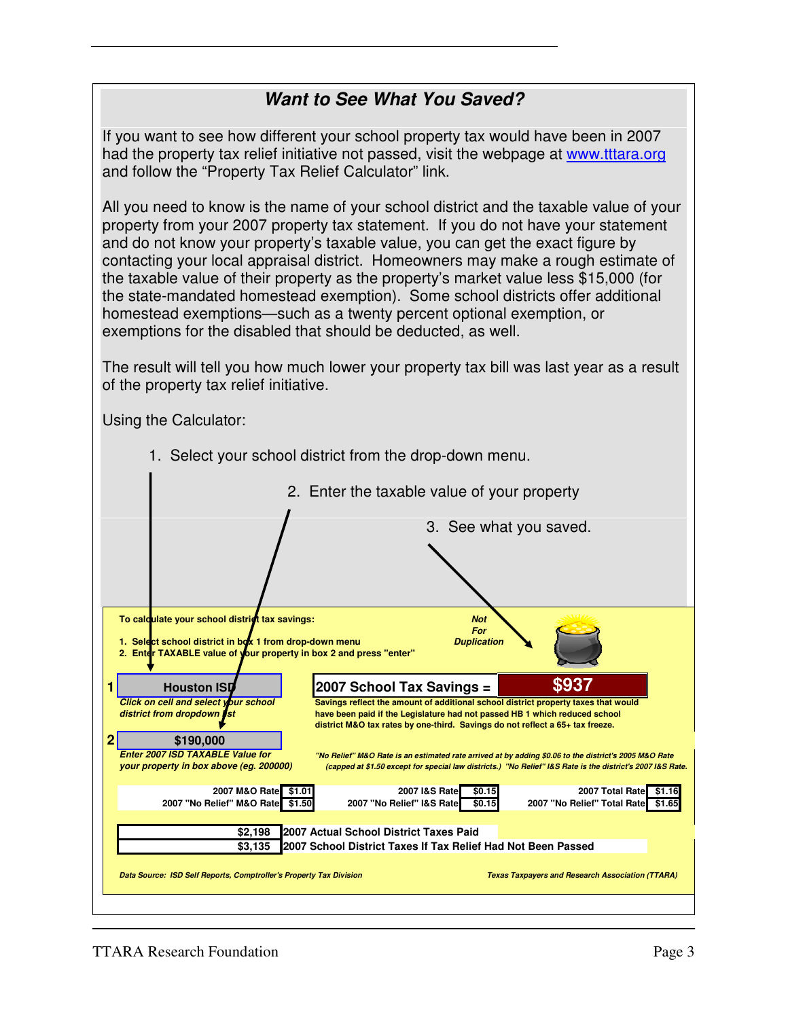## **Want to See What You Saved?**

If you want to see how different your school property tax would have been in 2007 had the property tax relief initiative not passed, visit the webpage at www.tttara.org and follow the "Property Tax Relief Calculator" link.

All you need to know is the name of your school district and the taxable value of your property from your 2007 property tax statement. If you do not have your statement and do not know your property's taxable value, you can get the exact figure by contacting your local appraisal district. Homeowners may make a rough estimate of the taxable value of their property as the property's market value less \$15,000 (for the state-mandated homestead exemption). Some school districts offer additional homestead exemptions—such as a twenty percent optional exemption, or exemptions for the disabled that should be deducted, as well.

The result will tell you how much lower your property tax bill was last year as a result of the property tax relief initiative.

Using the Calculator:

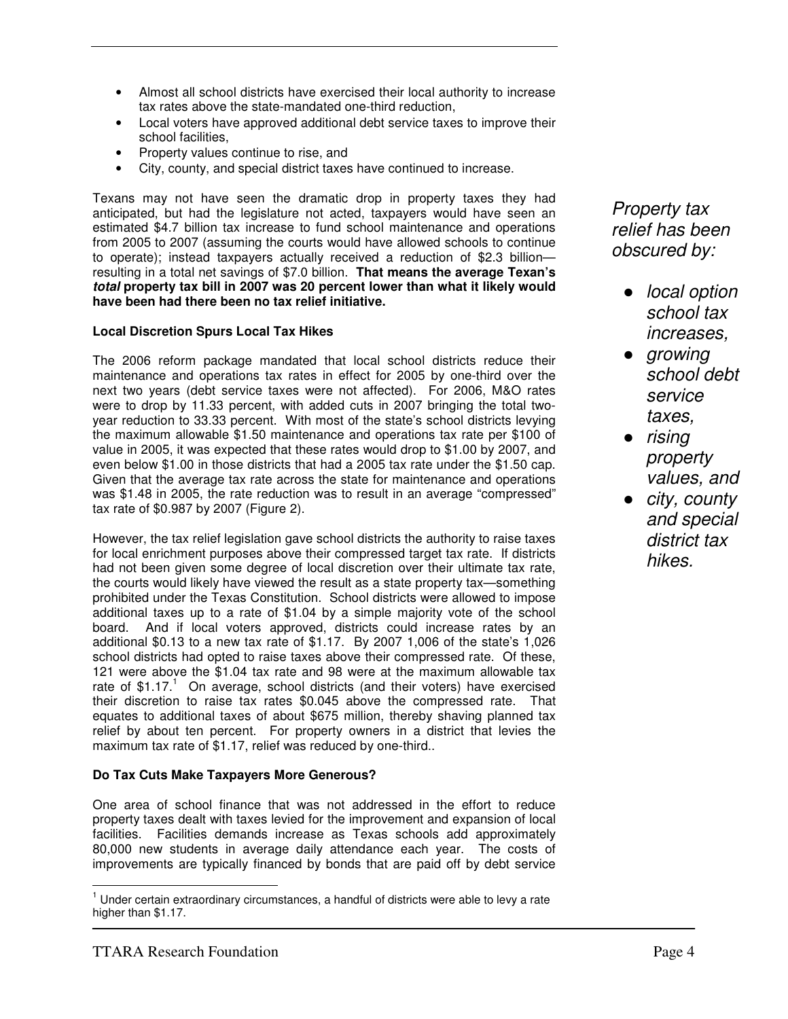- Almost all school districts have exercised their local authority to increase tax rates above the state-mandated one-third reduction,
- Local voters have approved additional debt service taxes to improve their school facilities,
- Property values continue to rise, and
- City, county, and special district taxes have continued to increase.

Texans may not have seen the dramatic drop in property taxes they had anticipated, but had the legislature not acted, taxpayers would have seen an estimated \$4.7 billion tax increase to fund school maintenance and operations from 2005 to 2007 (assuming the courts would have allowed schools to continue to operate); instead taxpayers actually received a reduction of \$2.3 billion resulting in a total net savings of \$7.0 billion. **That means the average Texan's total property tax bill in 2007 was 20 percent lower than what it likely would have been had there been no tax relief initiative.** 

#### **Local Discretion Spurs Local Tax Hikes**

The 2006 reform package mandated that local school districts reduce their maintenance and operations tax rates in effect for 2005 by one-third over the next two years (debt service taxes were not affected). For 2006, M&O rates were to drop by 11.33 percent, with added cuts in 2007 bringing the total twoyear reduction to 33.33 percent. With most of the state's school districts levying the maximum allowable \$1.50 maintenance and operations tax rate per \$100 of value in 2005, it was expected that these rates would drop to \$1.00 by 2007, and even below \$1.00 in those districts that had a 2005 tax rate under the \$1.50 cap. Given that the average tax rate across the state for maintenance and operations was \$1.48 in 2005, the rate reduction was to result in an average "compressed" tax rate of \$0.987 by 2007 (Figure 2).

However, the tax relief legislation gave school districts the authority to raise taxes for local enrichment purposes above their compressed target tax rate. If districts had not been given some degree of local discretion over their ultimate tax rate, the courts would likely have viewed the result as a state property tax—something prohibited under the Texas Constitution. School districts were allowed to impose additional taxes up to a rate of \$1.04 by a simple majority vote of the school board. And if local voters approved, districts could increase rates by an additional \$0.13 to a new tax rate of \$1.17. By 2007 1,006 of the state's 1,026 school districts had opted to raise taxes above their compressed rate. Of these, 121 were above the \$1.04 tax rate and 98 were at the maximum allowable tax rate of  $$1.17<sup>1</sup>$  On average, school districts (and their voters) have exercised their discretion to raise tax rates \$0.045 above the compressed rate. That equates to additional taxes of about \$675 million, thereby shaving planned tax relief by about ten percent. For property owners in a district that levies the maximum tax rate of \$1.17, relief was reduced by one-third..

#### **Do Tax Cuts Make Taxpayers More Generous?**

One area of school finance that was not addressed in the effort to reduce property taxes dealt with taxes levied for the improvement and expansion of local facilities. Facilities demands increase as Texas schools add approximately 80,000 new students in average daily attendance each year. The costs of improvements are typically financed by bonds that are paid off by debt service

Property tax relief has been obscured by:

- *local option* school tax increases,
- growing school debt service taxes,
- rising property values, and
- city, county and special district tax hikes.

 $\overline{\phantom{a}}$ <sup>1</sup> Under certain extraordinary circumstances, a handful of districts were able to levy a rate higher than \$1.17.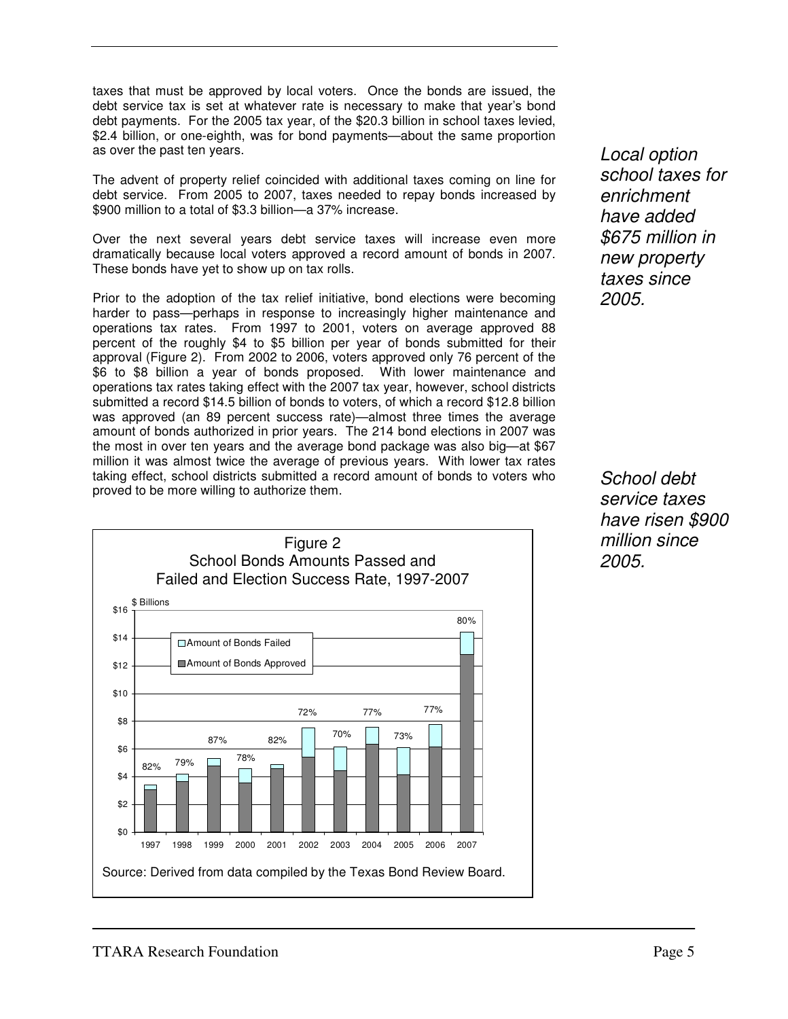taxes that must be approved by local voters. Once the bonds are issued, the debt service tax is set at whatever rate is necessary to make that year's bond debt payments. For the 2005 tax year, of the \$20.3 billion in school taxes levied, \$2.4 billion, or one-eighth, was for bond payments—about the same proportion as over the past ten years.

The advent of property relief coincided with additional taxes coming on line for debt service. From 2005 to 2007, taxes needed to repay bonds increased by \$900 million to a total of \$3.3 billion—a 37% increase.

Over the next several years debt service taxes will increase even more dramatically because local voters approved a record amount of bonds in 2007. These bonds have yet to show up on tax rolls.

Prior to the adoption of the tax relief initiative, bond elections were becoming harder to pass—perhaps in response to increasingly higher maintenance and operations tax rates. From 1997 to 2001, voters on average approved 88 percent of the roughly \$4 to \$5 billion per year of bonds submitted for their approval (Figure 2). From 2002 to 2006, voters approved only 76 percent of the \$6 to \$8 billion a year of bonds proposed. With lower maintenance and operations tax rates taking effect with the 2007 tax year, however, school districts submitted a record \$14.5 billion of bonds to voters, of which a record \$12.8 billion was approved (an 89 percent success rate)—almost three times the average amount of bonds authorized in prior years. The 214 bond elections in 2007 was the most in over ten years and the average bond package was also big—at \$67 million it was almost twice the average of previous years. With lower tax rates taking effect, school districts submitted a record amount of bonds to voters who proved to be more willing to authorize them.



Local option school taxes for enrichment have added \$675 million in new property taxes since 2005.

School debt service taxes have risen \$900 million since 2005.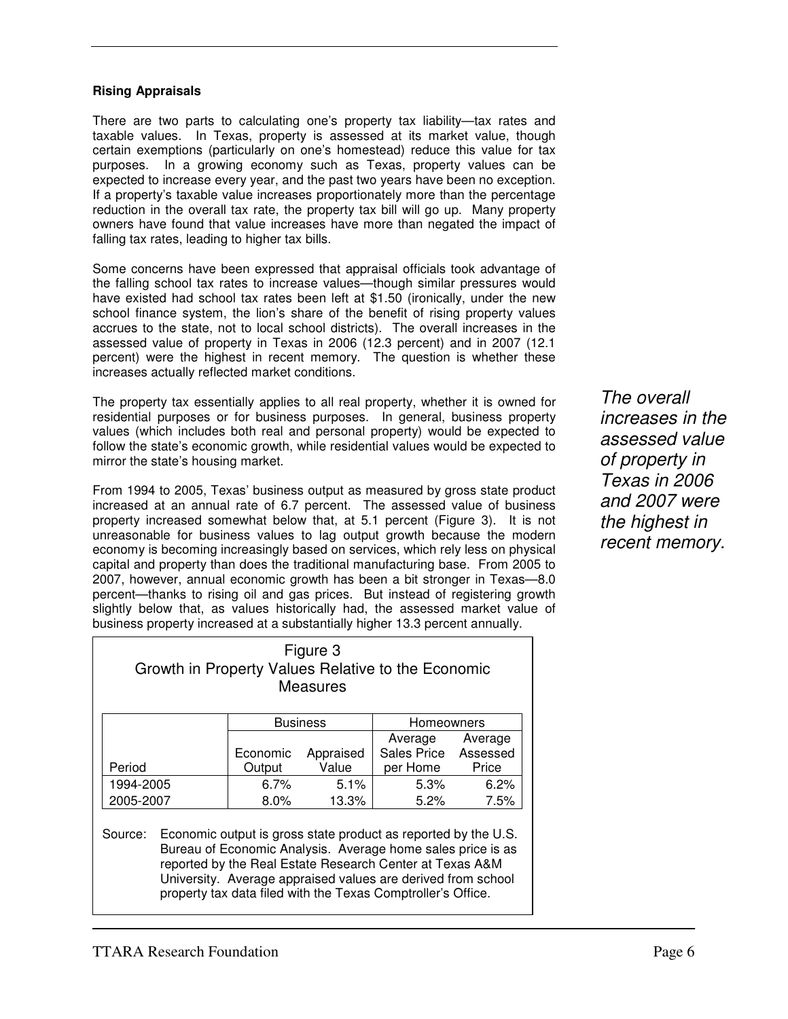#### **Rising Appraisals**

There are two parts to calculating one's property tax liability—tax rates and taxable values. In Texas, property is assessed at its market value, though certain exemptions (particularly on one's homestead) reduce this value for tax purposes. In a growing economy such as Texas, property values can be expected to increase every year, and the past two years have been no exception. If a property's taxable value increases proportionately more than the percentage reduction in the overall tax rate, the property tax bill will go up. Many property owners have found that value increases have more than negated the impact of falling tax rates, leading to higher tax bills.

Some concerns have been expressed that appraisal officials took advantage of the falling school tax rates to increase values—though similar pressures would have existed had school tax rates been left at \$1.50 (ironically, under the new school finance system, the lion's share of the benefit of rising property values accrues to the state, not to local school districts). The overall increases in the assessed value of property in Texas in 2006 (12.3 percent) and in 2007 (12.1 percent) were the highest in recent memory. The question is whether these increases actually reflected market conditions.

The property tax essentially applies to all real property, whether it is owned for residential purposes or for business purposes. In general, business property values (which includes both real and personal property) would be expected to follow the state's economic growth, while residential values would be expected to mirror the state's housing market.

From 1994 to 2005, Texas' business output as measured by gross state product increased at an annual rate of 6.7 percent. The assessed value of business property increased somewhat below that, at 5.1 percent (Figure 3). It is not unreasonable for business values to lag output growth because the modern economy is becoming increasingly based on services, which rely less on physical capital and property than does the traditional manufacturing base. From 2005 to 2007, however, annual economic growth has been a bit stronger in Texas—8.0 percent—thanks to rising oil and gas prices. But instead of registering growth slightly below that, as values historically had, the assessed market value of business property increased at a substantially higher 13.3 percent annually.

Figure 3 Growth in Property Values Relative to the Economic Measures Business | Homeowners Period Economic Appraised **Output** Value Average Sales Price Assessed per Home Average **Price** 1994-2005 6.7% 5.1% 5.3% 6.2% 2005-2007 8.0% 13.3% 5.2% 7.5% Source: Economic output is gross state product as reported by the U.S. Bureau of Economic Analysis. Average home sales price is as reported by the Real Estate Research Center at Texas A&M

University. Average appraised values are derived from school property tax data filed with the Texas Comptroller's Office.

The overall increases in the assessed value of property in Texas in 2006 and 2007 were the highest in recent memory.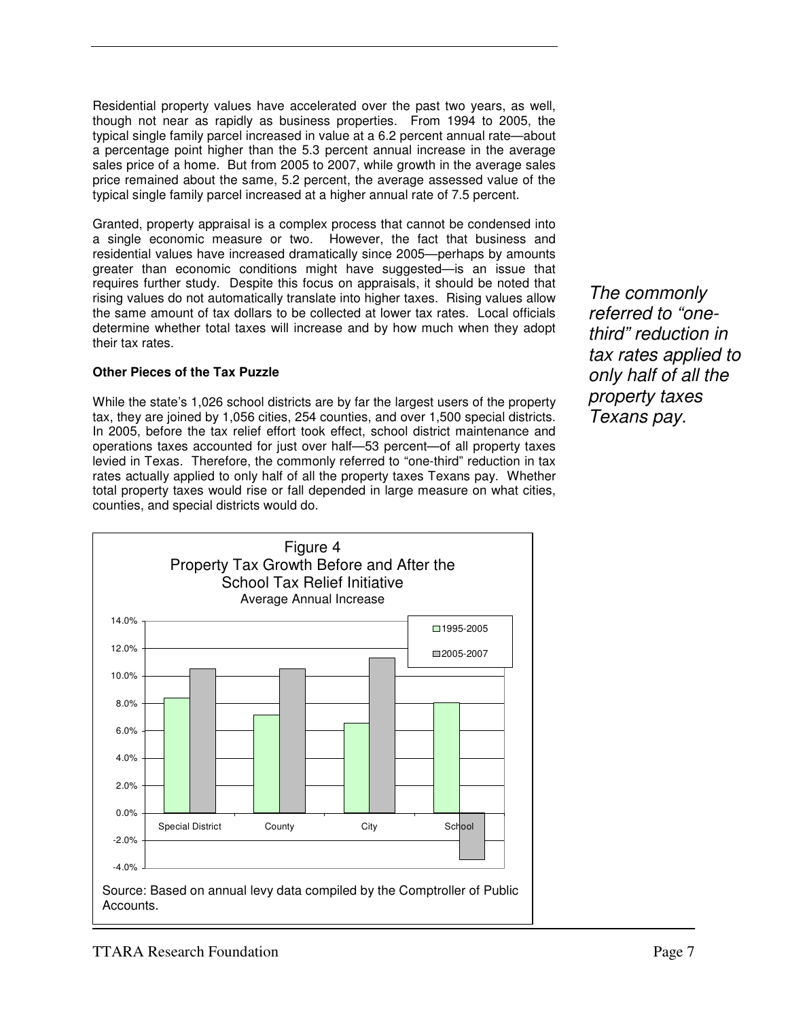Residential property values have accelerated over the past two years, as well, though not near as rapidly as business properties. From 1994 to 2005, the typical single family parcel increased in value at a 6.2 percent annual rate—about a percentage point higher than the 5.3 percent annual increase in the average sales price of a home. But from 2005 to 2007, while growth in the average sales price remained about the same, 5.2 percent, the average assessed value of the typical single family parcel increased at a higher annual rate of 7.5 percent.

Granted, property appraisal is a complex process that cannot be condensed into a single economic measure or two. However, the fact that business and residential values have increased dramatically since 2005—perhaps by amounts greater than economic conditions might have suggested—is an issue that requires further study. Despite this focus on appraisals, it should be noted that rising values do not automatically translate into higher taxes. Rising values allow the same amount of tax dollars to be collected at lower tax rates. Local officials determine whether total taxes will increase and by how much when they adopt their tax rates.

#### **Other Pieces of the Tax Puzzle**

While the state's 1,026 school districts are by far the largest users of the property tax, they are joined by 1,056 cities, 254 counties, and over 1,500 special districts. In 2005, before the tax relief effort took effect, school district maintenance and operations taxes accounted for just over half—53 percent—of all property taxes levied in Texas. Therefore, the commonly referred to "one-third" reduction in tax rates actually applied to only half of all the property taxes Texans pay. Whether total property taxes would rise or fall depended in large measure on what cities, counties, and special districts would do.

The commonly referred to "onethird" reduction in tax rates applied to only half of all the property taxes Texans pay.